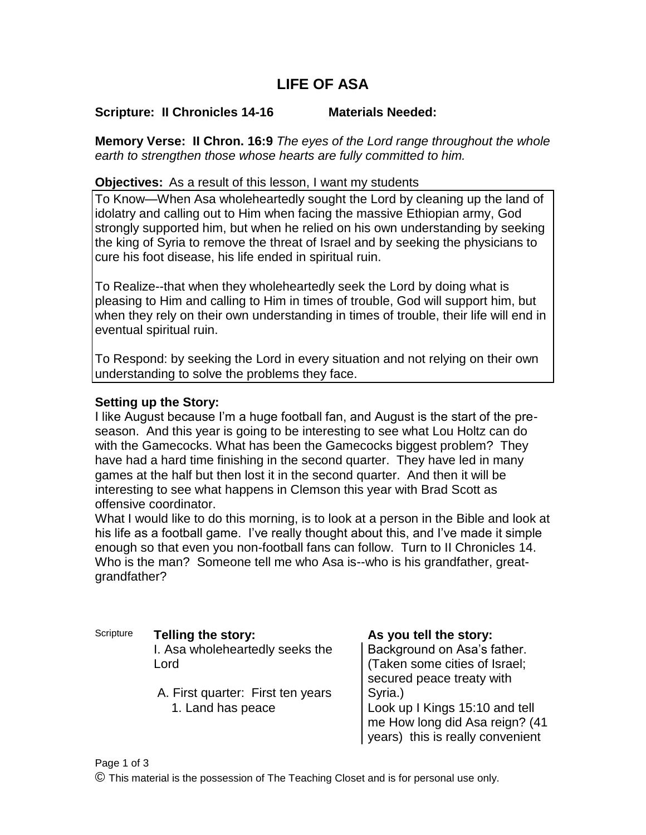# **LIFE OF ASA**

## **Scripture: II Chronicles 14-16 Materials Needed:**

**Memory Verse: II Chron. 16:9** *The eyes of the Lord range throughout the whole earth to strengthen those whose hearts are fully committed to him.*

#### **Objectives:** As a result of this lesson, I want my students

To Know—When Asa wholeheartedly sought the Lord by cleaning up the land of idolatry and calling out to Him when facing the massive Ethiopian army, God strongly supported him, but when he relied on his own understanding by seeking the king of Syria to remove the threat of Israel and by seeking the physicians to cure his foot disease, his life ended in spiritual ruin.

To Realize--that when they wholeheartedly seek the Lord by doing what is pleasing to Him and calling to Him in times of trouble, God will support him, but when they rely on their own understanding in times of trouble, their life will end in eventual spiritual ruin.

To Respond: by seeking the Lord in every situation and not relying on their own understanding to solve the problems they face.

### **Setting up the Story:**

I like August because I'm a huge football fan, and August is the start of the preseason. And this year is going to be interesting to see what Lou Holtz can do with the Gamecocks. What has been the Gamecocks biggest problem? They have had a hard time finishing in the second quarter. They have led in many games at the half but then lost it in the second quarter. And then it will be interesting to see what happens in Clemson this year with Brad Scott as offensive coordinator.

What I would like to do this morning, is to look at a person in the Bible and look at his life as a football game. I've really thought about this, and I've made it simple enough so that even you non-football fans can follow. Turn to II Chronicles 14. Who is the man? Someone tell me who Asa is--who is his grandfather, greatgrandfather?

- Scripture **Telling the story: As you tell the story:** I. Asa wholeheartedly seeks the Lord
	- A. First quarter: First ten years 1. Land has peace

Background on Asa's father. (Taken some cities of Israel; secured peace treaty with Syria.) Look up I Kings 15:10 and tell me How long did Asa reign? (41 years) this is really convenient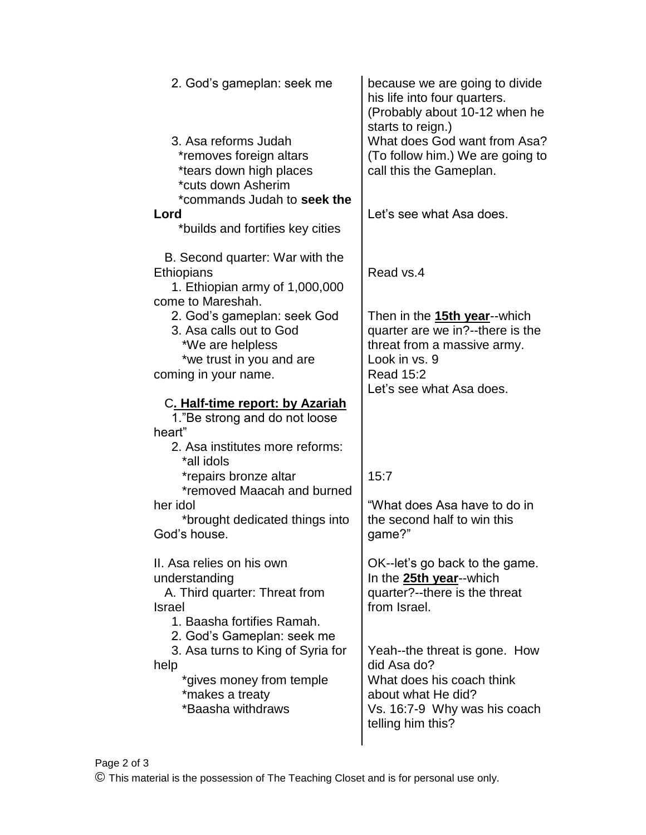| 2. God's gameplan: seek me                                                                                                                                                                                                                                                                                                                                            | because we are going to divide<br>his life into four quarters.<br>(Probably about 10-12 when he<br>starts to reign.)                                                          |
|-----------------------------------------------------------------------------------------------------------------------------------------------------------------------------------------------------------------------------------------------------------------------------------------------------------------------------------------------------------------------|-------------------------------------------------------------------------------------------------------------------------------------------------------------------------------|
| 3. Asa reforms Judah<br>*removes foreign altars<br>*tears down high places<br>*cuts down Asherim                                                                                                                                                                                                                                                                      | What does God want from Asa?<br>(To follow him.) We are going to<br>call this the Gameplan.                                                                                   |
| *commands Judah to seek the<br>Lord<br>*builds and fortifies key cities                                                                                                                                                                                                                                                                                               | Let's see what Asa does.                                                                                                                                                      |
| B. Second quarter: War with the<br>Ethiopians<br>1. Ethiopian army of 1,000,000<br>come to Mareshah.<br>2. God's gameplan: seek God<br>3. Asa calls out to God<br>*We are helpless<br>*we trust in you and are<br>coming in your name.<br>C. Half-time report: by Azariah<br>1."Be strong and do not loose<br>heart"<br>2. Asa institutes more reforms:<br>*all idols | Read vs.4<br>Then in the 15th year--which<br>quarter are we in?--there is the<br>threat from a massive army.<br>Look in vs. 9<br><b>Read 15:2</b><br>Let's see what Asa does. |
| *repairs bronze altar<br>*removed Maacah and burned                                                                                                                                                                                                                                                                                                                   | 15:7                                                                                                                                                                          |
| her idol<br>*brought dedicated things into<br>God's house.                                                                                                                                                                                                                                                                                                            | "What does Asa have to do in<br>the second half to win this<br>game?"                                                                                                         |
| II. Asa relies on his own<br>understanding<br>A. Third quarter: Threat from<br><b>Israel</b><br>1. Baasha fortifies Ramah.                                                                                                                                                                                                                                            | OK--let's go back to the game.<br>In the 25th year--which<br>quarter?--there is the threat<br>from Israel.                                                                    |
| 2. God's Gameplan: seek me<br>3. Asa turns to King of Syria for<br>help<br>*gives money from temple<br>*makes a treaty<br>*Baasha withdraws                                                                                                                                                                                                                           | Yeah--the threat is gone. How<br>did Asa do?<br>What does his coach think<br>about what He did?<br>Vs. 16:7-9 Why was his coach<br>telling him this?                          |